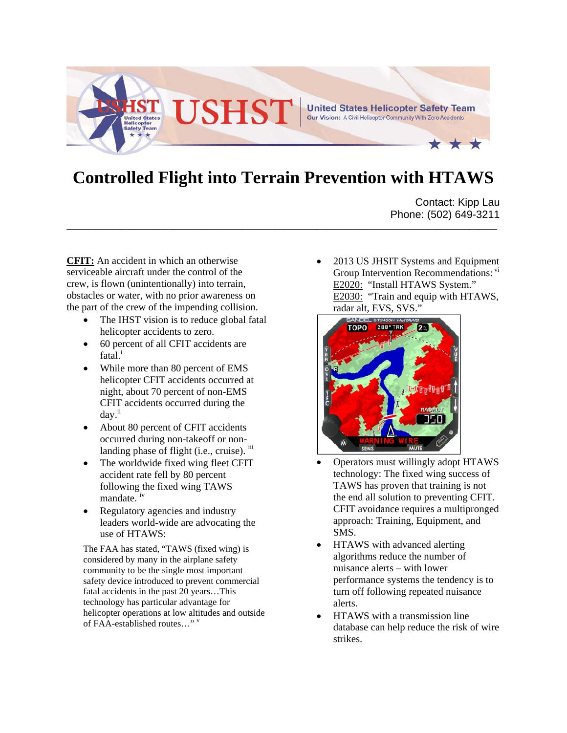

## **Controlled Flight into Terrain Prevention with HTAWS**

**\_\_\_\_\_\_\_\_\_\_\_\_\_\_\_\_\_\_\_\_\_\_\_\_\_\_\_\_\_\_\_\_\_\_\_\_\_\_\_\_\_\_\_\_\_\_\_\_\_\_\_\_\_\_\_\_\_\_\_\_\_\_\_\_\_\_\_\_\_\_\_\_\_\_\_\_\_\_\_\_\_\_\_\_\_\_\_\_\_\_\_\_\_**

Contact: Kipp Lau Phone: (502) 649-3211

**CFIT:** An accident in which an otherwise serviceable aircraft under the control of the crew, is flown (unintentionally) into terrain, obstacles or water, with no prior awareness on the part of the crew of the impending collision.

- The IHST vision is to reduce global fatal helicopter accidents to zero.
- 60 percent of all CFIT accidents are fatal.<sup>i</sup>
- While more than 80 percent of EMS helicopter CFIT accidents occurred at night, about 70 percent of non-EMS CFIT accidents occurred during the day.ii
- About 80 percent of CFIT accidents occurred during non-takeoff or nonlanding phase of flight (i.e., cruise).  $\mathbf{u}$
- The worldwide fixed wing fleet CFIT accident rate fell by 80 percent following the fixed wing TAWS mandate. iv
- Regulatory agencies and industry leaders world-wide are advocating the use of HTAWS:

The FAA has stated, "TAWS (fixed wing) is considered by many in the airplane safety community to be the single most important safety device introduced to prevent commercial fatal accidents in the past 20 years…This technology has particular advantage for helicopter operations at low altitudes and outside of FAA-established routes…" v

 2013 US JHSIT Systems and Equipment Group Intervention Recommendations: vi E2020: "Install HTAWS System." E2030: "Train and equip with HTAWS, radar alt, EVS, SVS."



- Operators must willingly adopt HTAWS technology: The fixed wing success of TAWS has proven that training is not the end all solution to preventing CFIT. CFIT avoidance requires a multipronged approach: Training, Equipment, and SMS.
- HTAWS with advanced alerting algorithms reduce the number of nuisance alerts – with lower performance systems the tendency is to turn off following repeated nuisance alerts.
- HTAWS with a transmission line database can help reduce the risk of wire strikes.